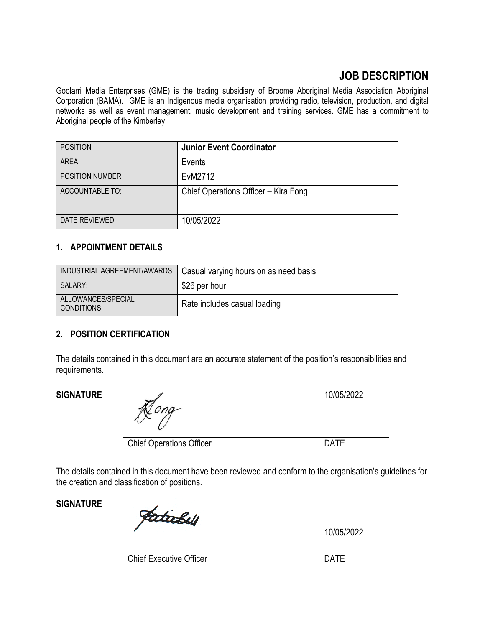# **JOB DESCRIPTION**

Goolarri Media Enterprises (GME) is the trading subsidiary of Broome Aboriginal Media Association Aboriginal Corporation (BAMA). GME is an Indigenous media organisation providing radio, television, production, and digital networks as well as event management, music development and training services. GME has a commitment to Aboriginal people of the Kimberley.

| <b>POSITION</b>        | <b>Junior Event Coordinator</b>      |
|------------------------|--------------------------------------|
| AREA                   | Events                               |
| <b>POSITION NUMBER</b> | EvM2712                              |
| <b>ACCOUNTABLE TO:</b> | Chief Operations Officer - Kira Fong |
|                        |                                      |
| DATE REVIEWED          | 10/05/2022                           |

## **1. APPOINTMENT DETAILS**

| INDUSTRIAL AGREEMENT/AWARDS       | Casual varying hours on as need basis |
|-----------------------------------|---------------------------------------|
| SALARY:                           | \$26 per hour                         |
| ALLOWANCES/SPECIAL<br>'CONDITIONS | Rate includes casual loading          |

### **2. POSITION CERTIFICATION**

The details contained in this document are an accurate statement of the position's responsibilities and requirements.

### **SIGNATURE** 2012 2022

Tong

Chief Operations Officer DATE

The details contained in this document have been reviewed and conform to the organisation's guidelines for the creation and classification of positions.

**SIGNATURE**

Jadickell

10/05/2022

Chief Executive Officer **DATE**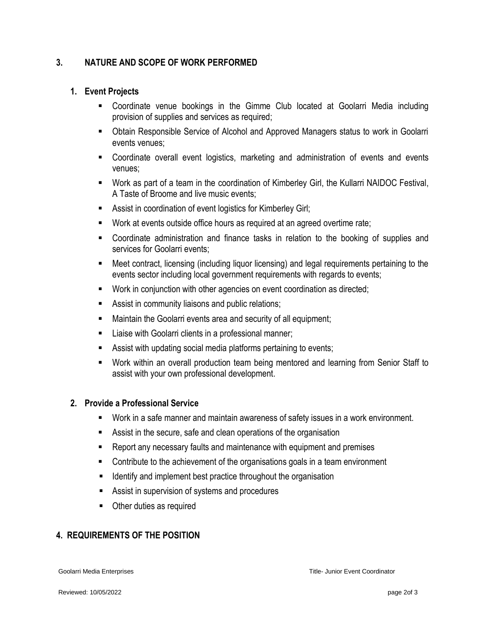#### **3. NATURE AND SCOPE OF WORK PERFORMED**

#### **1. Event Projects**

- Coordinate venue bookings in the Gimme Club located at Goolarri Media including provision of supplies and services as required;
- Obtain Responsible Service of Alcohol and Approved Managers status to work in Goolarri events venues;
- Coordinate overall event logistics, marketing and administration of events and events venues;
- Work as part of a team in the coordination of Kimberley Girl, the Kullarri NAIDOC Festival, A Taste of Broome and live music events;
- Assist in coordination of event logistics for Kimberley Girl;
- Work at events outside office hours as required at an agreed overtime rate;
- Coordinate administration and finance tasks in relation to the booking of supplies and services for Goolarri events;
- Meet contract, licensing (including liquor licensing) and legal requirements pertaining to the events sector including local government requirements with regards to events;
- Work in conjunction with other agencies on event coordination as directed;
- Assist in community liaisons and public relations;
- **EXEDENT** Maintain the Goolarri events area and security of all equipment;
- Liaise with Goolarri clients in a professional manner;
- **EXECT** Assist with updating social media platforms pertaining to events;
- Work within an overall production team being mentored and learning from Senior Staff to assist with your own professional development.

#### **2. Provide a Professional Service**

- Work in a safe manner and maintain awareness of safety issues in a work environment.
- Assist in the secure, safe and clean operations of the organisation
- Report any necessary faults and maintenance with equipment and premises
- Contribute to the achievement of the organisations goals in a team environment
- Identify and implement best practice throughout the organisation
- Assist in supervision of systems and procedures
- Other duties as required

### **4. REQUIREMENTS OF THE POSITION**